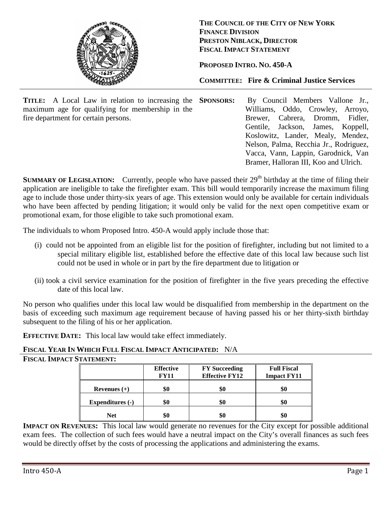

**THE COUNCIL OF THE CITY OF NEW YORK FINANCE DIVISION PRESTON NIBLACK, DIRECTOR FISCAL IMPACT STATEMENT**

**PROPOSED INTRO. NO. 450-A**

**COMMITTEE: Fire & Criminal Justice Services**

**TITLE:** A Local Law in relation to increasing the **SPONSORS**: maximum age for qualifying for membership in the fire department for certain persons.

By Council Members Vallone Jr., Williams, Oddo, Crowley, Arroyo, Brewer, Cabrera, Dromm, Fidler, Gentile, Jackson, James, Koppell, Koslowitz, Lander, Mealy, Mendez, Nelson, Palma, Recchia Jr., Rodriguez, Vacca, Vann, Lappin, Garodnick, Van Bramer, Halloran III, Koo and Ulrich.

**SUMMARY OF LEGISLATION:** Currently, people who have passed their 29<sup>th</sup> birthday at the time of filing their application are ineligible to take the firefighter exam. This bill would temporarily increase the maximum filing age to include those under thirty-six years of age. This extension would only be available for certain individuals who have been affected by pending litigation; it would only be valid for the next open competitive exam or promotional exam, for those eligible to take such promotional exam.

The individuals to whom Proposed Intro. 450-A would apply include those that:

- (i) could not be appointed from an eligible list for the position of firefighter, including but not limited to a special military eligible list, established before the effective date of this local law because such list could not be used in whole or in part by the fire department due to litigation or
- (ii) took a civil service examination for the position of firefighter in the five years preceding the effective date of this local law.

No person who qualifies under this local law would be disqualified from membership in the department on the basis of exceeding such maximum age requirement because of having passed his or her thirty-sixth birthday subsequent to the filing of his or her application.

**EFFECTIVE DATE:** This local law would take effect immediately.

**FISCAL YEAR IN WHICH FULL FISCAL IMPACT ANTICIPATED:** N/A

| <b>FISCAL IMPACT STATEMENT:</b> |
|---------------------------------|
|---------------------------------|

|                         | <b>Effective</b><br><b>FY11</b> | <b>FY</b> Succeeding<br><b>Effective FY12</b> | <b>Full Fiscal</b><br><b>Impact FY11</b> |
|-------------------------|---------------------------------|-----------------------------------------------|------------------------------------------|
| Revenues $(+)$          | \$0                             |                                               | \$0                                      |
| <b>Expenditures</b> (-) | \$0                             | \$0                                           | \$0                                      |
| <b>Net</b>              | \$0                             |                                               | \$0                                      |

**IMPACT ON REVENUES:** This local law would generate no revenues for the City except for possible additional exam fees. The collection of such fees would have a neutral impact on the City's overall finances as such fees would be directly offset by the costs of processing the applications and administering the exams.